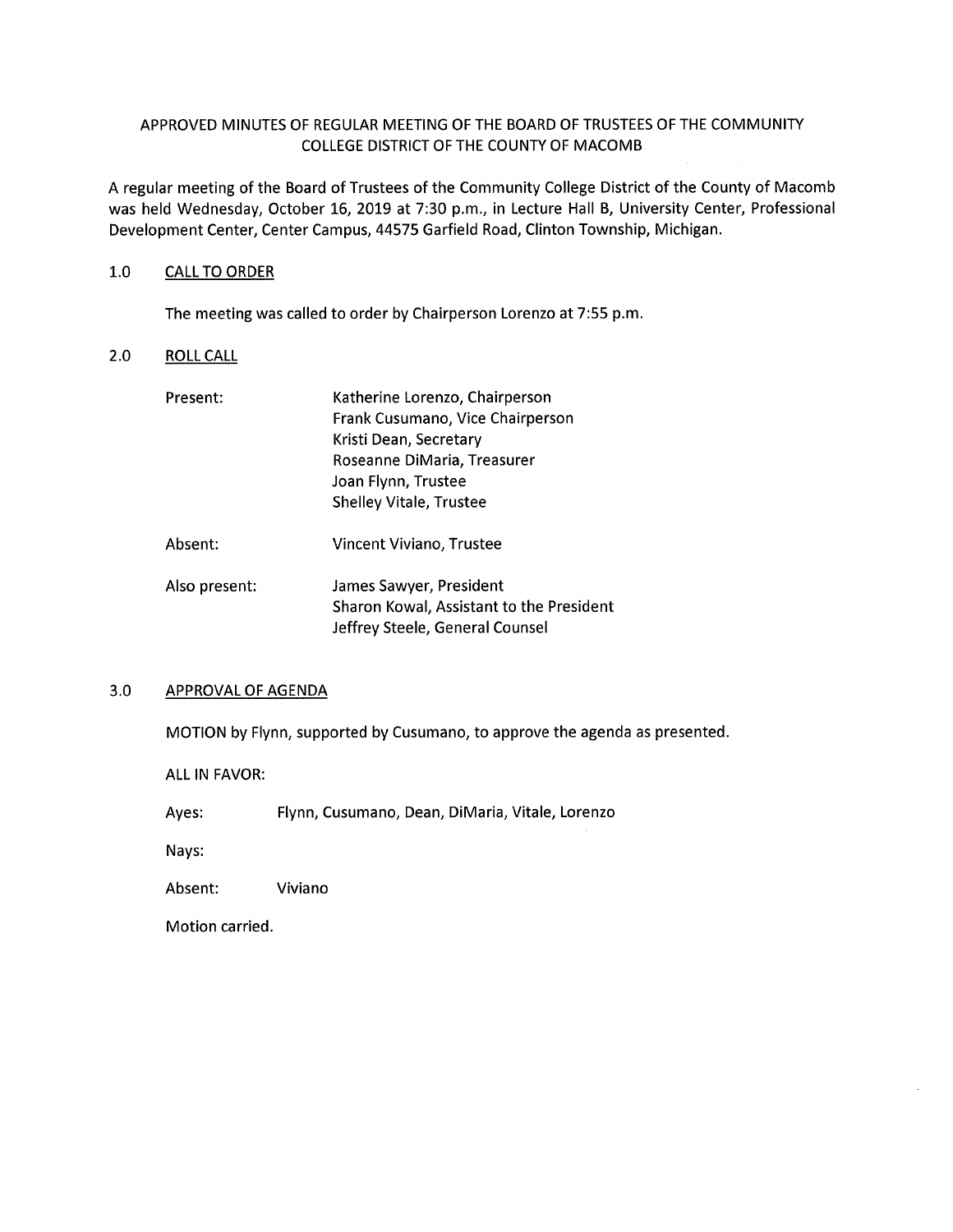## APPROVED MINUTES OF REGULAR MEETING OF THE BOARD OF TRUSTEES OF THE COMMUNITY COLLEGE DISTRICT OF THE COUNTY OF MACOMB

A regular meeting of the Board of Trustees of the Community College District of the County of Macomb was held Wednesday, October 16, 2019 at 7:30 p.m., in Lecture Hall B, University Center, Professional Development Center, Center Campus, 44575 Garfield Road, Clinton Township, Michigan.

#### 1.0 CALL TO ORDER

The meeting was called to order by Chairperson Lorenzo at 7:55 p.m.

## 2.0 ROLL CALL

| Present:      | Katherine Lorenzo, Chairperson<br>Frank Cusumano, Vice Chairperson<br>Kristi Dean, Secretary<br>Roseanne DiMaria, Treasurer<br>Joan Flynn, Trustee<br><b>Shelley Vitale, Trustee</b> |
|---------------|--------------------------------------------------------------------------------------------------------------------------------------------------------------------------------------|
| Absent:       | Vincent Viviano, Trustee                                                                                                                                                             |
| Also present: | James Sawyer, President<br>Sharon Kowal, Assistant to the President<br>Jeffrey Steele, General Counsel                                                                               |

#### 3.0 APPROVAL OF AGENDA

MOTION by Flynn, supported by Cusumano, to approve the agenda as presented.

ALL IN FAVOR:

Ayes: Flynn, Cusumano, Dean, DiMaria, Vitale, Lorenzo

Nays:

Absent: Viviano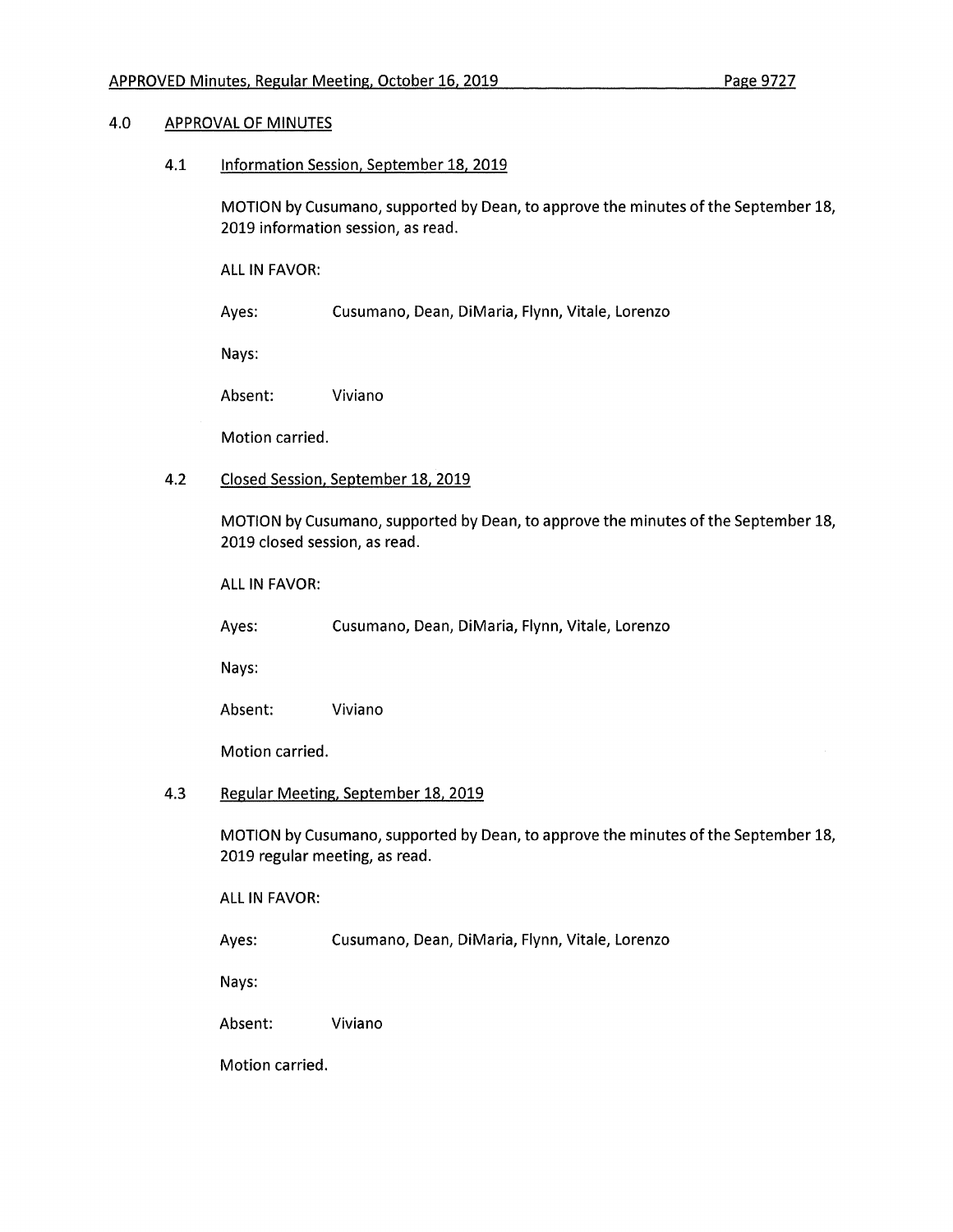## 4.0 APPROVAL OF MINUTES

4.1 Information Session, September 18, 2019

MOTION by Cusumano, supported by Dean, to approve the minutes of the September 18, 2019 information session, as read.

ALL IN FAVOR:

Ayes: Cusumano, Dean, DiMaria, Flynn, Vitale, Lorenzo

Nays:

Absent: Viviano

Motion carried.

## **4.2** Closed Session. September 18. 2019

MOTION by Cusumano, supported by Dean, to approve the minutes of the September 18, 2019 closed session, as read.

ALL IN FAVOR:

Ayes: Cusumano, Dean, DiMaria, Flynn, Vitale, Lorenzo

Nays:

Absent: Viviano

Motion carried.

#### 4.3 Regular Meeting. September 18. 2019

MOTION by Cusumano, supported by Dean, to approve the minutes of the September 18, 2019 regular meeting, as read.

ALL IN FAVOR:

Ayes: Cusumano, Dean, DiMaria, Flynn, Vitale, Lorenzo

Nays:

Absent: Viviano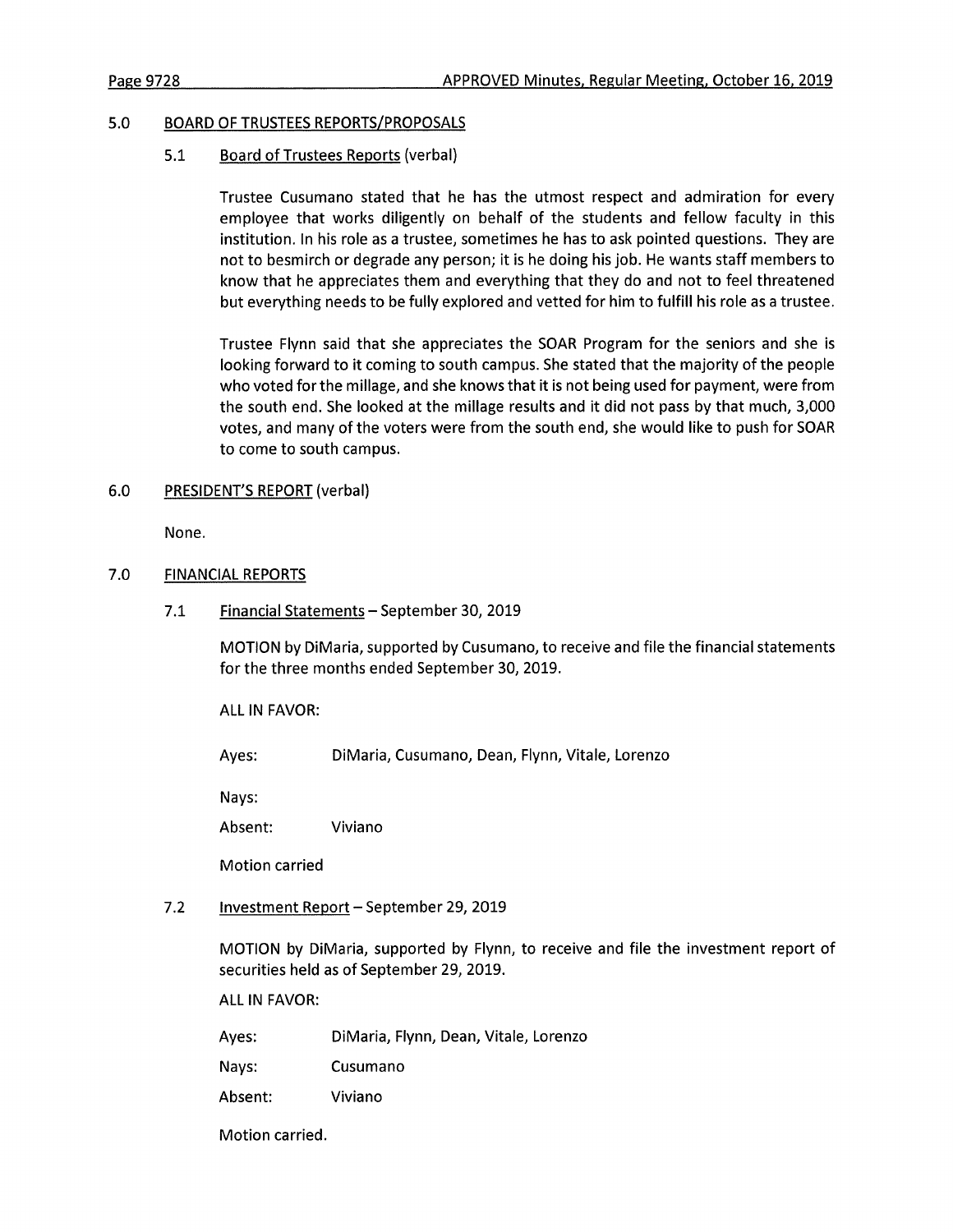#### 5.0 BOARD OF TRUSTEES REPORTS/PROPOSALS

#### 5.1 Board of Trustees Reports (verbal)

Trustee Cusumano stated that he has the utmost respect and admiration for every employee that works diligently on behalf of the students and fellow faculty in this institution. In his role as a trustee, sometimes he has to ask pointed questions. They are not to besmirch or degrade any person; it is he doing his job. He wants staff members to know that he appreciates them and everything that they do and not to feel threatened but everything needs to be fully explored and vetted for him to fulfill his role as a trustee.

Trustee Flynn said that she appreciates the SOAR Program for the seniors and she is looking forward to it coming to south campus. She stated that the majority of the people who voted for the millage, and she knows that it is not being used for payment, were from the south end. She looked at the millage results and it did not pass by that much, 3,000 votes, and many of the voters were from the south end, she would like to push for SOAR to come to south campus.

#### 6.0 PRESIDENT'S REPORT (verbal)

None.

#### 7.0 FINANCIAL REPORTS

7.1 Financial Statements - September 30, 2019

MOTION by DiMaria, supported by Cusumano, to receive and file the financial statements for the three months ended September 30, 2019.

ALL IN FAVOR:

Ayes: DiMaria, Cusumano, Dean, Flynn, Vitale, Lorenzo

Nays:

Absent: Viviano

Motion carried

7.2 Investment Report - September 29, 2019

MOTION by DiMaria, supported by Flynn, to receive and file the investment report of securities held as of September 29, 2019.

ALL IN FAVOR:

Ayes: DiMaria, Flynn, Dean, Vitale, Lorenzo

Nays: Cusumano

Absent: Viviano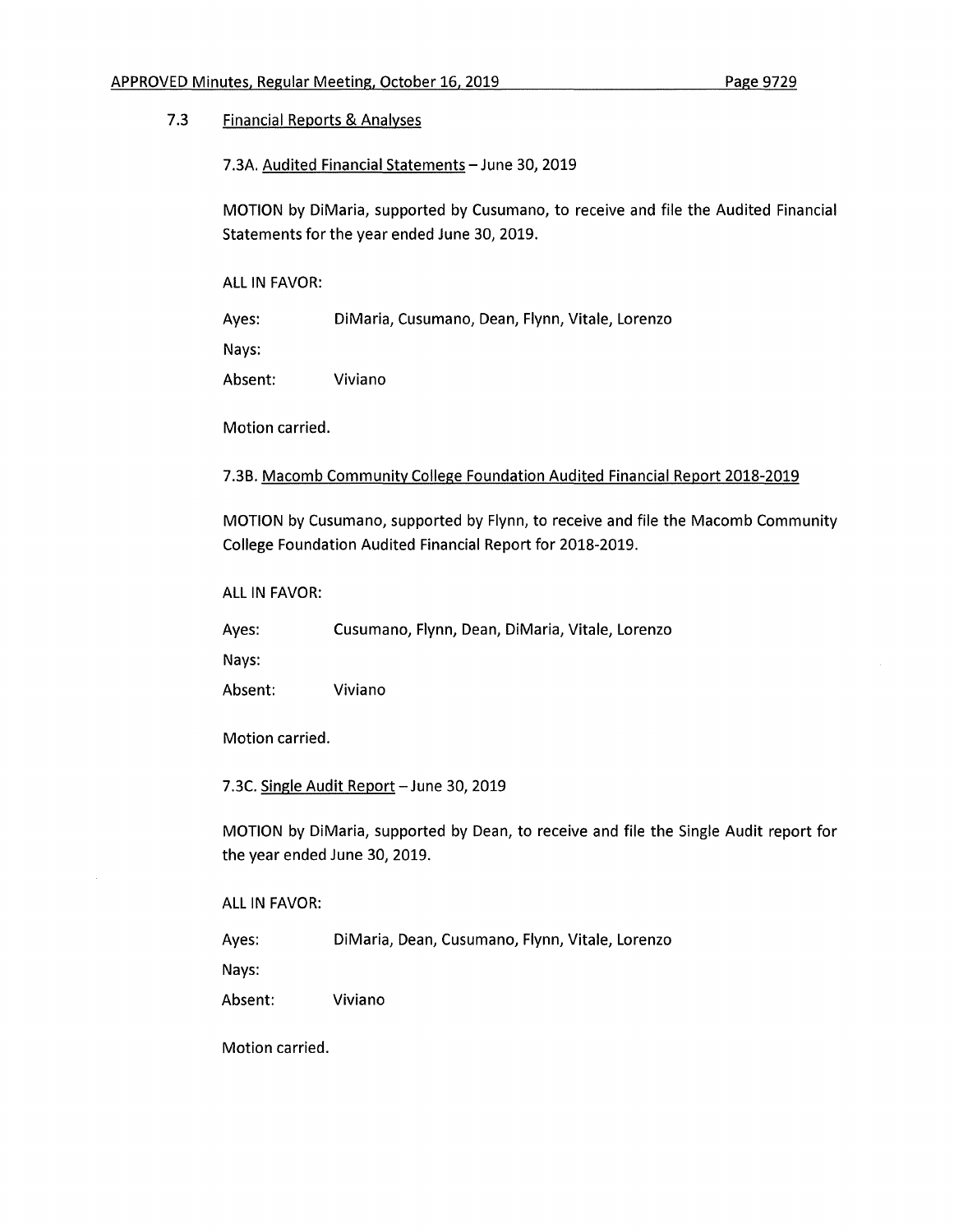## 7.3 Financial Reports & Analyses

7.3A. Audited Financial Statements - June 30, 2019

MOTION by DiMaria, supported by Cusumano, to receive and file the Audited Financial Statements for the year ended June 30, 2019.

ALL IN FAVOR:

Ayes: DiMaria, Cusumano, Dean, Flynn, Vitale, Lorenzo

Nays:

Absent: Viviano

Motion carried.

## 7.38. Macomb Community College Foundation Audited Financial Report 2018-2019

MOTION by Cusumano, supported by Flynn, to receive and file the Macomb Community College Foundation Audited Financial Report for 2018-2019.

ALL IN FAVOR:

Ayes: Cusumano, Flynn, Dean, DiMaria, Vitale, Lorenzo

Nays:

Absent: Viviano

Motion carried.

7.3C. Single Audit Report - June 30, 2019

MOTION by DiMaria, supported by Dean, to receive and file the Single Audit report for the year ended June 30, 2019.

ALL IN FAVOR:

Ayes: DiMaria, Dean, Cusumano, Flynn, Vitale, Lorenzo

Nays:

Absent: Viviano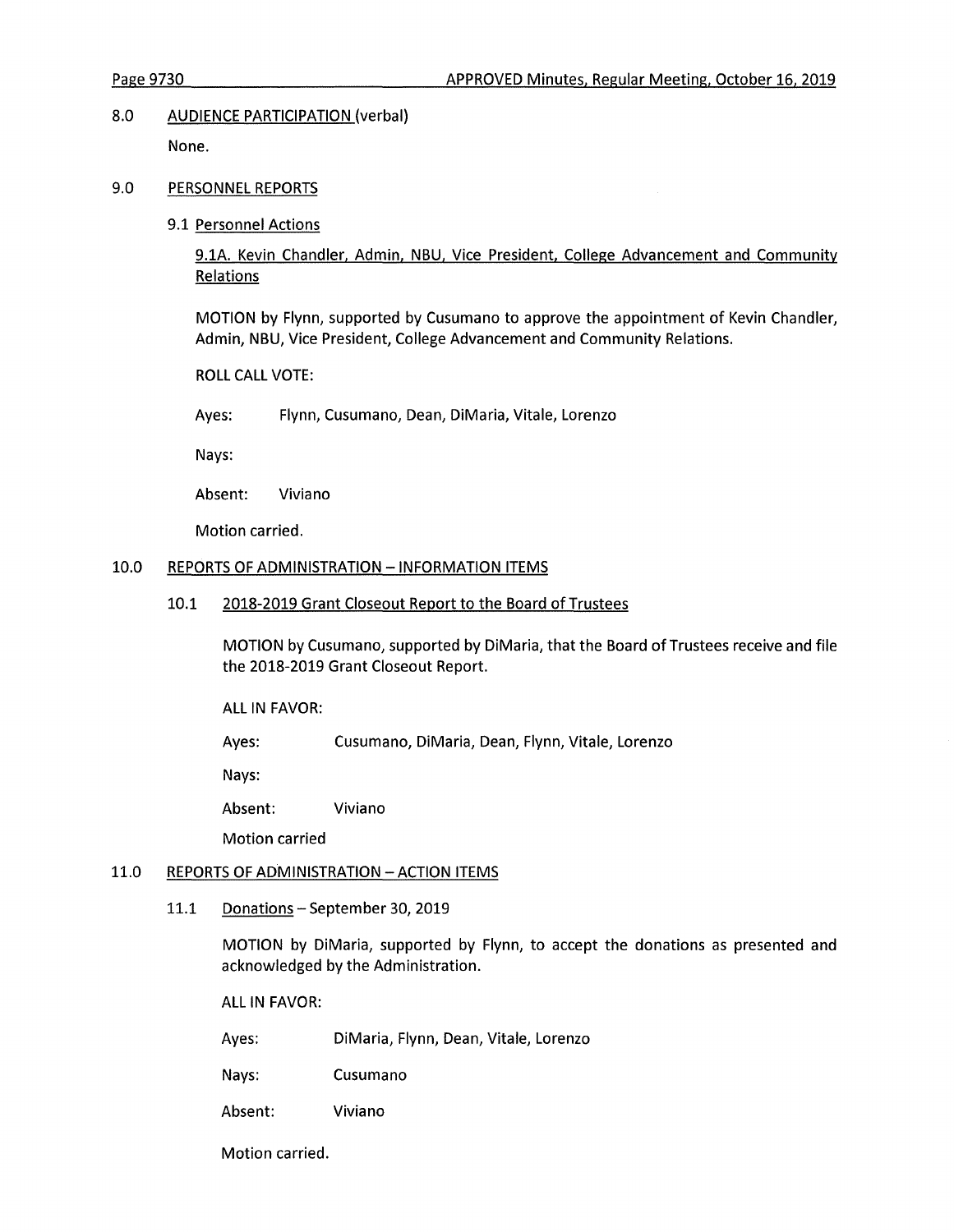#### 8.0 AUDIENCE PARTICIPATION (verbal)

None.

### 9.0 PERSONNEL REPORTS

9.1 Personnel Actions

9.1A. Kevin Chandler, Admin, NBU, Vice President, College Advancement and Community Relations

MOTION by Flynn, supported by Cusumano to approve the appointment of Kevin Chandler, Admin, NBU, Vice President, College Advancement and Community Relations.

ROLL CALL VOTE:

Ayes: Flynn, Cusumano, Dean, DiMaria, Vitale, Lorenzo

Nays:

Absent: Viviano

Motion carried.

#### 10.0 REPORTS OF ADMINISTRATION - INFORMATION ITEMS

#### 10.1 2018-2019 Grant Closeout Report to the Board of Trustees

MOTION by Cusumano, supported by DiMaria, that the Board of Trustees receive and file the 2018-2019 Grant Closeout Report.

ALL IN FAVOR:

Ayes: Cusumano, DiMaria, Dean, Flynn, Vitale, Lorenzo

Nays:

Absent: Viviano

Motion carried

#### 11.0 REPORTS OF ADMINISTRATION - ACTION ITEMS

11.1 Donations - September 30, 2019

MOTION by DiMaria, supported by Flynn, to accept the donations as presented and acknowledged by the Administration.

ALL IN FAVOR:

Ayes: DiMaria, Flynn, Dean, Vitale, Lorenzo

Nays: Cusumano

Absent: Viviano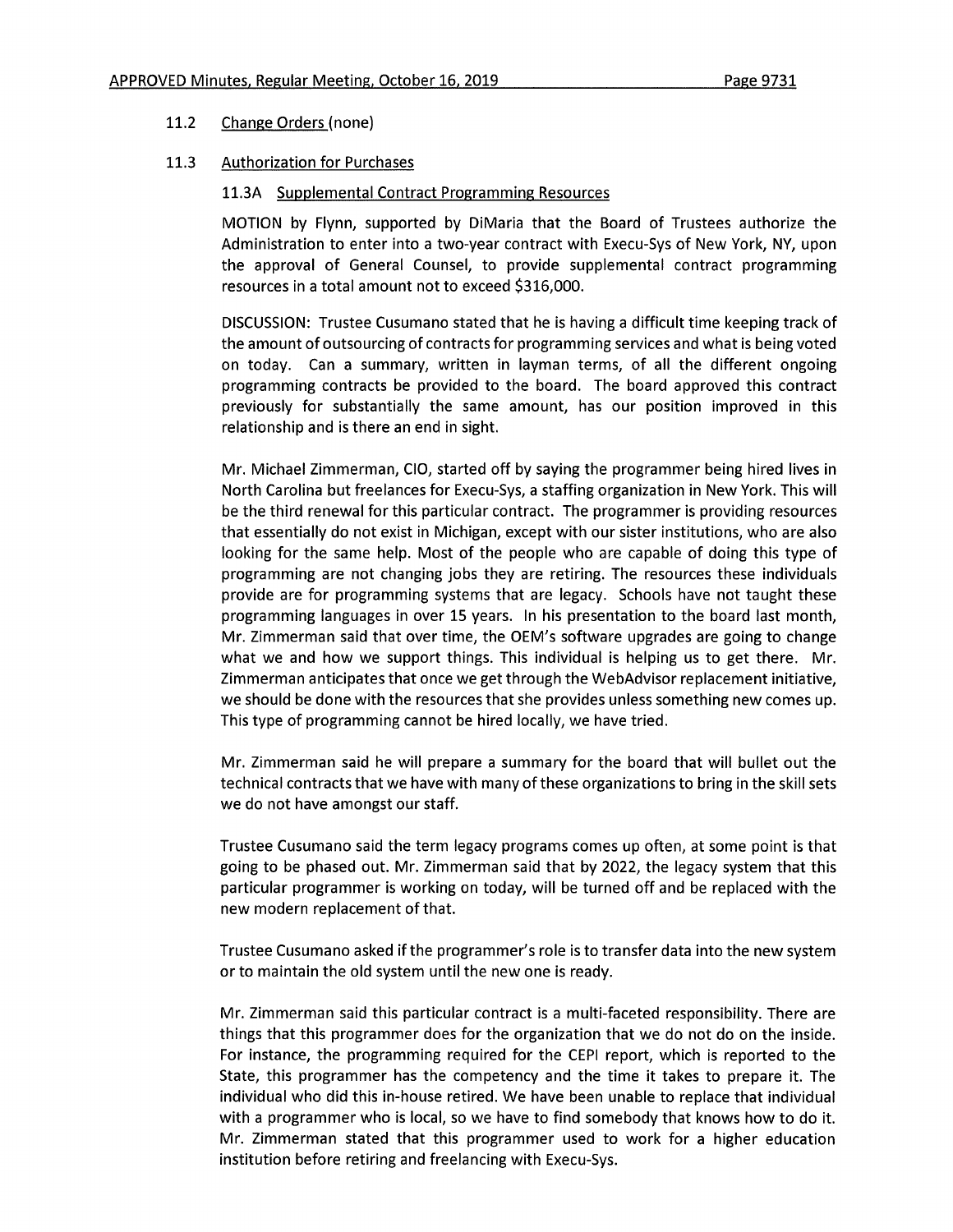## 11.2 Change Orders (none)

## 11.3 Authorization for Purchases

### 11.3A Supplemental Contract Programming Resources

MOTION by Flynn, supported by DiMaria that the Board of Trustees authorize the Administration to enter into a two-year contract with Execu-Sys of New York, NY, upon the approval of General Counsel, to provide supplemental contract programming resources in a total amount not to exceed \$316,000.

DISCUSSION: Trustee Cusumano stated that he is having a difficult time keeping track of the amount of outsourcing of contracts for programming services and what is being voted on today. Can a summary, written in layman terms, of all the different ongoing programming contracts be provided to the board. The board approved this contract previously for substantially the same amount, has our position improved in this relationship and is there an end in sight.

Mr. Michael Zimmerman, CIO, started off by saying the programmer being hired lives in North Carolina but freelances for Execu-Sys, a staffing organization in New York. This will be the third renewal for this particular contract. The programmer is providing resources that essentially do not exist in Michigan, except with our sister institutions, who are also looking for the same help. Most of the people who are capable of doing this type of programming are not changing jobs they are retiring. The resources these individuals provide are for programming systems that are legacy. Schools have not taught these programming languages in over 15 years. In his presentation to the board last month, Mr. Zimmerman said that over time, the OEM's software upgrades are going to change what we and how we support things. This individual is helping us to get there. Mr. Zimmerman anticipates that once we get through the WebAdvisor replacement initiative, we should be done with the resources that she provides unless something new comes up. This type of programming cannot be hired locally, we have tried.

Mr. Zimmerman said he will prepare a summary for the board that will bullet out the technical contracts that we have with many of these organizations to bring in the skill sets we do not have amongst our staff.

Trustee Cusumano said the term legacy programs comes up often, at some point is that going to be phased out. Mr. Zimmerman said that by 2022, the legacy system that this particular programmer is working on today, will be turned off and be replaced with the new modern replacement of that.

Trustee Cusumano asked if the programmer's role is to transfer data into the new system or to maintain the old system until the new one is ready.

Mr. Zimmerman said this particular contract is a multi-faceted responsibility. There are things that this programmer does for the organization that we do not do on the inside. For instance, the programming required for the CEPI report, which is reported to the State, this programmer has the competency and the time it takes to prepare it. The individual who did this in-house retired. We have been unable to replace that individual with a programmer who is local, so we have to find somebody that knows how to do it. Mr. Zimmerman stated that this programmer used to work for a higher education institution before retiring and freelancing with Execu-Sys.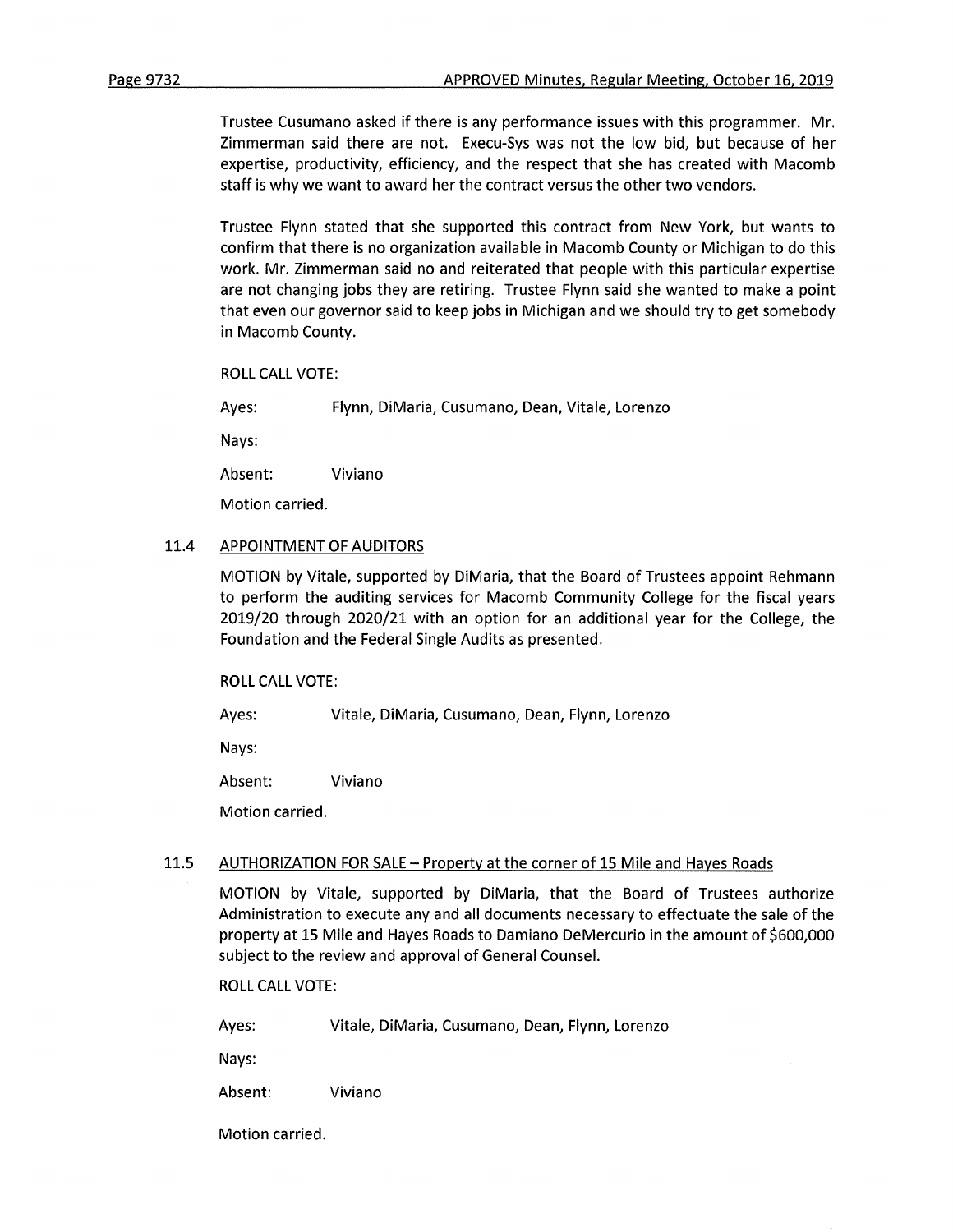Trustee Cusumano asked if there is any performance issues with this programmer. Mr. Zimmerman said there are not. Execu-Sys was not the low bid, but because of her expertise, productivity, efficiency, and the respect that she has created with Macomb staff is why we want to award her the contract versus the other two vendors.

Trustee Flynn stated that she supported this contract from New York, but wants to confirm that there is no organization available in Macomb County or Michigan to do this work. Mr. Zimmerman said no and reiterated that people with this particular expertise are not changing jobs they are retiring. Trustee Flynn said she wanted to make a point that even our governor said to keep jobs in Michigan and we should try to get somebody in Macomb County.

ROLL CALL VOTE:

Ayes: Flynn, DiMaria, Cusumano, Dean, Vitale, Lorenzo

Nays:

Absent: Viviano

Motion carried.

## 11.4 APPOINTMENT OF AUDITORS

MOTION by Vitale, supported by DiMaria, that the Board of Trustees appoint Rehmann to perform the auditing services for Macomb Community College for the fiscal years 2019/20 through 2020/21 with an option for an additional year for the College, the Foundation and the Federal Single Audits as presented.

ROLL CALL VOTE:

Ayes: Vitale, DiMaria, Cusumano, Dean, Flynn, Lorenzo

Nays:

Absent: Viviano

Motion carried.

#### 11.5 AUTHORIZATION FOR SALE - Property at the corner of 15 Mile and Hayes Roads

MOTION by Vitale, supported by DiMaria, that the Board of Trustees authorize Administration to execute any and all documents necessary to effectuate the sale of the property at 15 Mile and Hayes Roads to Damiano De Mercurio in the amount of \$600,000 subject to the review and approval of General Counsel.

ROLL CALL VOTE:

Ayes: Vitale, DiMaria, Cusumano, Dean, Flynn, Lorenzo

Nays:

Absent: Viviano